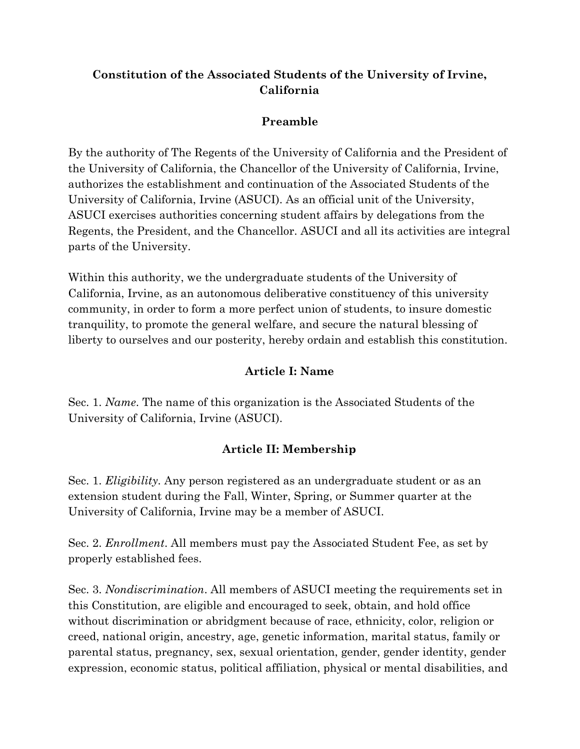### **Constitution of the Associated Students of the University of Irvine, California**

#### **Preamble**

By the authority of The Regents of the University of California and the President of the University of California, the Chancellor of the University of California, Irvine, authorizes the establishment and continuation of the Associated Students of the University of California, Irvine (ASUCI). As an official unit of the University, ASUCI exercises authorities concerning student affairs by delegations from the Regents, the President, and the Chancellor. ASUCI and all its activities are integral parts of the University.

Within this authority, we the undergraduate students of the University of California, Irvine, as an autonomous deliberative constituency of this university community, in order to form a more perfect union of students, to insure domestic tranquility, to promote the general welfare, and secure the natural blessing of liberty to ourselves and our posterity, hereby ordain and establish this constitution.

### **Article I: Name**

Sec. 1. *Name*. The name of this organization is the Associated Students of the University of California, Irvine (ASUCI).

## **Article II: Membership**

Sec. 1. *Eligibility.* Any person registered as an undergraduate student or as an extension student during the Fall, Winter, Spring, or Summer quarter at the University of California, Irvine may be a member of ASUCI.

Sec. 2. *Enrollment*. All members must pay the Associated Student Fee, as set by properly established fees.

Sec. 3. *Nondiscrimination*. All members of ASUCI meeting the requirements set in this Constitution, are eligible and encouraged to seek, obtain, and hold office without discrimination or abridgment because of race, ethnicity, color, religion or creed, national origin, ancestry, age, genetic information, marital status, family or parental status, pregnancy, sex, sexual orientation, gender, gender identity, gender expression, economic status, political affiliation, physical or mental disabilities, and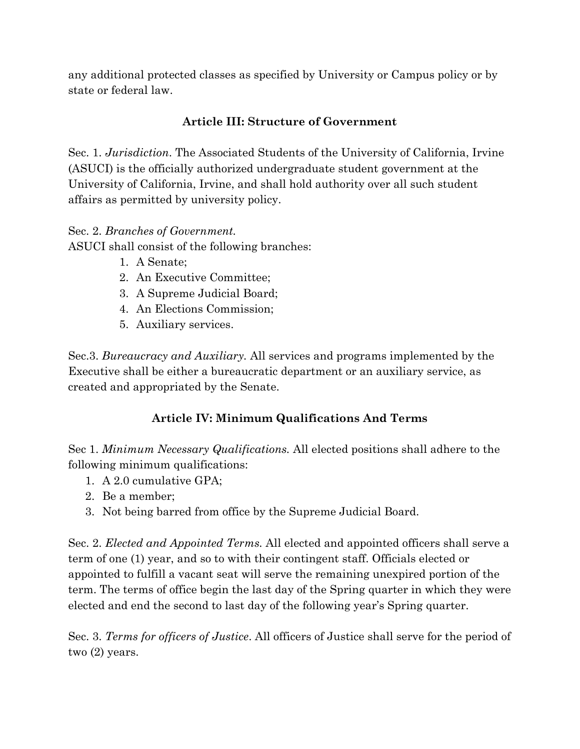any additional protected classes as specified by University or Campus policy or by state or federal law.

## **Article III: Structure of Government**

Sec. 1. *Jurisdiction*. The Associated Students of the University of California, Irvine (ASUCI) is the officially authorized undergraduate student government at the University of California, Irvine, and shall hold authority over all such student affairs as permitted by university policy.

### Sec. 2. *Branches of Government.*

ASUCI shall consist of the following branches:

- 1. A Senate;
- 2. An Executive Committee;
- 3. A Supreme Judicial Board;
- 4. An Elections Commission;
- 5. Auxiliary services.

Sec.3. *Bureaucracy and Auxiliary.* All services and programs implemented by the Executive shall be either a bureaucratic department or an auxiliary service, as created and appropriated by the Senate.

# **Article IV: Minimum Qualifications And Terms**

Sec 1. *Minimum Necessary Qualifications.* All elected positions shall adhere to the following minimum qualifications:

- 1. A 2.0 cumulative GPA;
- 2. Be a member;
- 3. Not being barred from office by the Supreme Judicial Board.

Sec. 2. *Elected and Appointed Terms.* All elected and appointed officers shall serve a term of one (1) year, and so to with their contingent staff. Officials elected or appointed to fulfill a vacant seat will serve the remaining unexpired portion of the term. The terms of office begin the last day of the Spring quarter in which they were elected and end the second to last day of the following year's Spring quarter.

Sec. 3. *Terms for officers of Justice*. All officers of Justice shall serve for the period of two (2) years.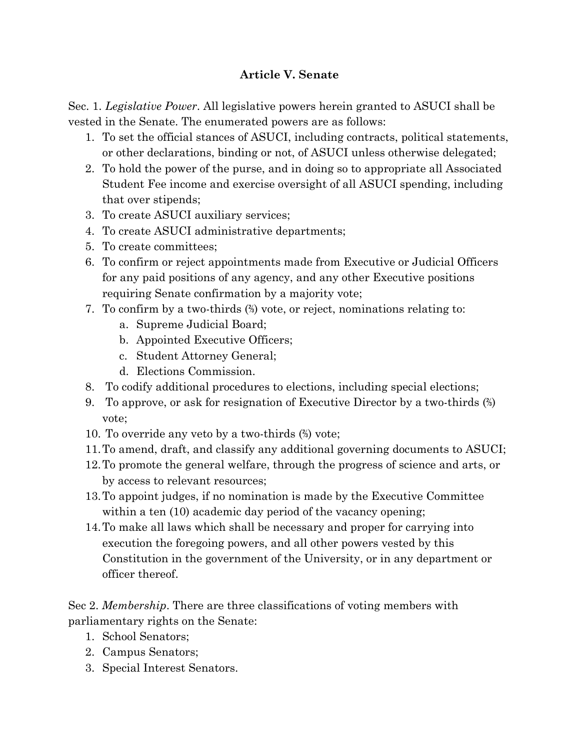#### **Article V. Senate**

Sec. 1. *Legislative Power*. All legislative powers herein granted to ASUCI shall be vested in the Senate. The enumerated powers are as follows:

- 1. To set the official stances of ASUCI, including contracts, political statements, or other declarations, binding or not, of ASUCI unless otherwise delegated;
- 2. To hold the power of the purse, and in doing so to appropriate all Associated Student Fee income and exercise oversight of all ASUCI spending, including that over stipends;
- 3. To create ASUCI auxiliary services;
- 4. To create ASUCI administrative departments;
- 5. To create committees;
- 6. To confirm or reject appointments made from Executive or Judicial Officers for any paid positions of any agency, and any other Executive positions requiring Senate confirmation by a majority vote;
- 7. To confirm by a two-thirds (⅔) vote, or reject, nominations relating to:
	- a. Supreme Judicial Board;
	- b. Appointed Executive Officers;
	- c. Student Attorney General;
	- d. Elections Commission.
- 8. To codify additional procedures to elections, including special elections;
- 9. To approve, or ask for resignation of Executive Director by a two-thirds (⅔) vote;
- 10. To override any veto by a two-thirds (⅔) vote;
- 11.To amend, draft, and classify any additional governing documents to ASUCI;
- 12.To promote the general welfare, through the progress of science and arts, or by access to relevant resources;
- 13.To appoint judges, if no nomination is made by the Executive Committee within a ten (10) academic day period of the vacancy opening;
- 14.To make all laws which shall be necessary and proper for carrying into execution the foregoing powers, and all other powers vested by this Constitution in the government of the University, or in any department or officer thereof.

Sec 2. *Membership*. There are three classifications of voting members with parliamentary rights on the Senate:

- 1. School Senators;
- 2. Campus Senators;
- 3. Special Interest Senators.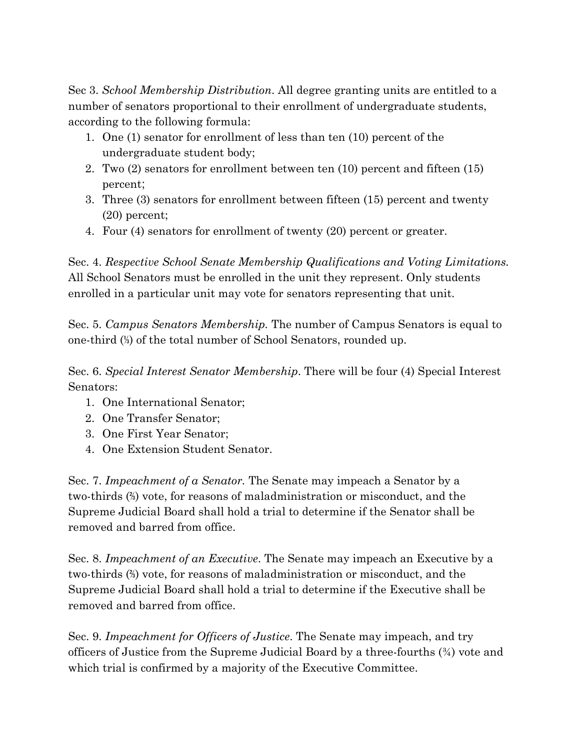Sec 3. *School Membership Distribution*. All degree granting units are entitled to a number of senators proportional to their enrollment of undergraduate students, according to the following formula:

- 1. One (1) senator for enrollment of less than ten (10) percent of the undergraduate student body;
- 2. Two (2) senators for enrollment between ten (10) percent and fifteen (15) percent;
- 3. Three (3) senators for enrollment between fifteen (15) percent and twenty (20) percent;
- 4. Four (4) senators for enrollment of twenty (20) percent or greater.

Sec. 4. *Respective School Senate Membership Qualifications and Voting Limitations.* All School Senators must be enrolled in the unit they represent. Only students enrolled in a particular unit may vote for senators representing that unit.

Sec. 5. *Campus Senators Membership.* The number of Campus Senators is equal to one-third (⅓) of the total number of School Senators, rounded up.

Sec. 6. *Special Interest Senator Membership*. There will be four (4) Special Interest Senators:

- 1. One International Senator;
- 2. One Transfer Senator;
- 3. One First Year Senator;
- 4. One Extension Student Senator.

Sec. 7. *Impeachment of a Senator.* The Senate may impeach a Senator by a two-thirds (⅔) vote, for reasons of maladministration or misconduct, and the Supreme Judicial Board shall hold a trial to determine if the Senator shall be removed and barred from office.

Sec. 8. *Impeachment of an Executive*. The Senate may impeach an Executive by a two-thirds (⅔) vote, for reasons of maladministration or misconduct, and the Supreme Judicial Board shall hold a trial to determine if the Executive shall be removed and barred from office.

Sec. 9. *Impeachment for Officers of Justice*. The Senate may impeach, and try officers of Justice from the Supreme Judicial Board by a three-fourths (¾) vote and which trial is confirmed by a majority of the Executive Committee.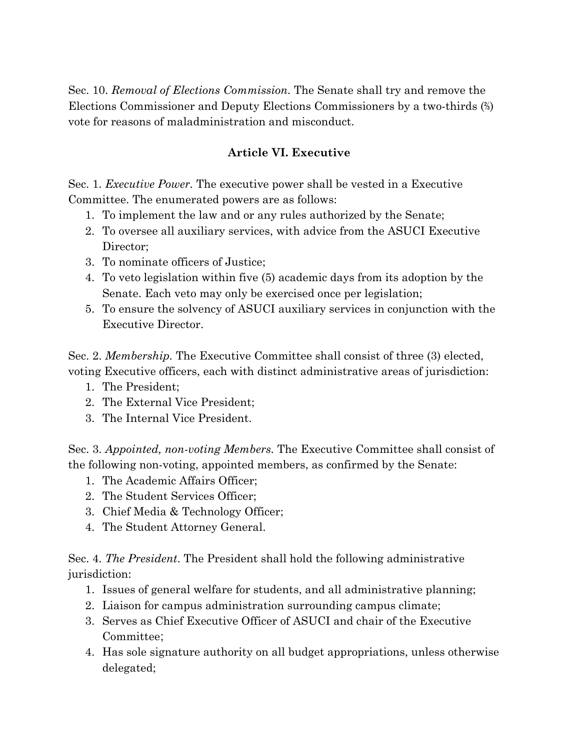Sec. 10. *Removal of Elections Commission.* The Senate shall try and remove the Elections Commissioner and Deputy Elections Commissioners by a two-thirds (⅔) vote for reasons of maladministration and misconduct.

#### **Article VI. Executive**

Sec. 1. *Executive Power.* The executive power shall be vested in a Executive Committee. The enumerated powers are as follows:

- 1. To implement the law and or any rules authorized by the Senate;
- 2. To oversee all auxiliary services, with advice from the ASUCI Executive Director:
- 3. To nominate officers of Justice;
- 4. To veto legislation within five (5) academic days from its adoption by the Senate. Each veto may only be exercised once per legislation;
- 5. To ensure the solvency of ASUCI auxiliary services in conjunction with the Executive Director.

Sec. 2. *Membership.* The Executive Committee shall consist of three (3) elected, voting Executive officers, each with distinct administrative areas of jurisdiction:

- 1. The President;
- 2. The External Vice President;
- 3. The Internal Vice President.

Sec. 3. *Appointed, non-voting Members.* The Executive Committee shall consist of the following non-voting, appointed members, as confirmed by the Senate:

- 1. The Academic Affairs Officer;
- 2. The Student Services Officer;
- 3. Chief Media & Technology Officer;
- 4. The Student Attorney General.

Sec. 4. *The President*. The President shall hold the following administrative jurisdiction:

- 1. Issues of general welfare for students, and all administrative planning;
- 2. Liaison for campus administration surrounding campus climate;
- 3. Serves as Chief Executive Officer of ASUCI and chair of the Executive Committee;
- 4. Has sole signature authority on all budget appropriations, unless otherwise delegated;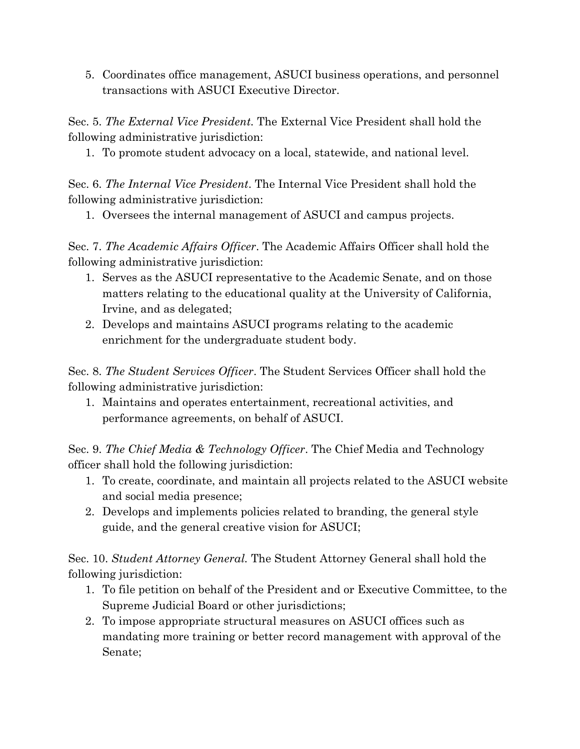5. Coordinates office management, ASUCI business operations, and personnel transactions with ASUCI Executive Director.

Sec. 5. *The External Vice President.* The External Vice President shall hold the following administrative jurisdiction:

1. To promote student advocacy on a local, statewide, and national level.

Sec. 6. *The Internal Vice President*. The Internal Vice President shall hold the following administrative jurisdiction:

1. Oversees the internal management of ASUCI and campus projects.

Sec. 7. *The Academic Affairs Officer*. The Academic Affairs Officer shall hold the following administrative jurisdiction:

- 1. Serves as the ASUCI representative to the Academic Senate, and on those matters relating to the educational quality at the University of California, Irvine, and as delegated;
- 2. Develops and maintains ASUCI programs relating to the academic enrichment for the undergraduate student body.

Sec. 8. *The Student Services Officer*. The Student Services Officer shall hold the following administrative jurisdiction:

1. Maintains and operates entertainment, recreational activities, and performance agreements, on behalf of ASUCI.

Sec. 9. *The Chief Media & Technology Officer*. The Chief Media and Technology officer shall hold the following jurisdiction:

- 1. To create, coordinate, and maintain all projects related to the ASUCI website and social media presence;
- 2. Develops and implements policies related to branding, the general style guide, and the general creative vision for ASUCI;

Sec. 10. *Student Attorney General.* The Student Attorney General shall hold the following jurisdiction:

- 1. To file petition on behalf of the President and or Executive Committee, to the Supreme Judicial Board or other jurisdictions;
- 2. To impose appropriate structural measures on ASUCI offices such as mandating more training or better record management with approval of the Senate;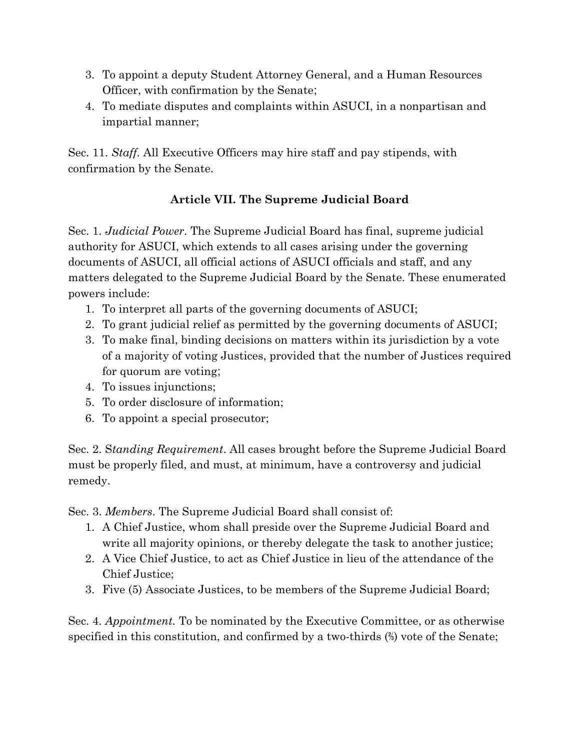- 3. To appoint a deputy Student Attorney General, and a Human Resources Officer, with confirmation by the Senate;
- 4. To mediate disputes and complaints within ASUCI, in a nonpartisan and impartial manner;

Sec. 11. *Staff.* All Executive Officers may hire staff and pay stipends, with confirmation by the Senate.

## **Article VII. The Supreme Judicial Board**

Sec. 1. *Judicial Power*. The Supreme Judicial Board has final, supreme judicial authority for ASUCI, which extends to all cases arising under the governing documents of ASUCI, all official actions of ASUCI officials and staff, and any matters delegated to the Supreme Judicial Board by the Senate. These enumerated powers include:

- 1. To interpret all parts of the governing documents of ASUCI;
- 2. To grant judicial relief as permitted by the governing documents of ASUCI;
- 3. To make final, binding decisions on matters within its jurisdiction by a vote of a majority of voting Justices, provided that the number of Justices required for quorum are voting;
- 4. To issues injunctions;
- 5. To order disclosure of information;
- 6. To appoint a special prosecutor;

Sec. 2. S*tanding Requirement*. All cases brought before the Supreme Judicial Board must be properly filed, and must, at minimum, have a controversy and judicial remedy.

Sec. 3. *Members*. The Supreme Judicial Board shall consist of:

- 1. A Chief Justice, whom shall preside over the Supreme Judicial Board and write all majority opinions, or thereby delegate the task to another justice;
- 2. A Vice Chief Justice, to act as Chief Justice in lieu of the attendance of the Chief Justice;
- 3. Five (5) Associate Justices, to be members of the Supreme Judicial Board;

Sec. 4. *Appointment.* To be nominated by the Executive Committee, or as otherwise specified in this constitution, and confirmed by a two-thirds (⅔) vote of the Senate;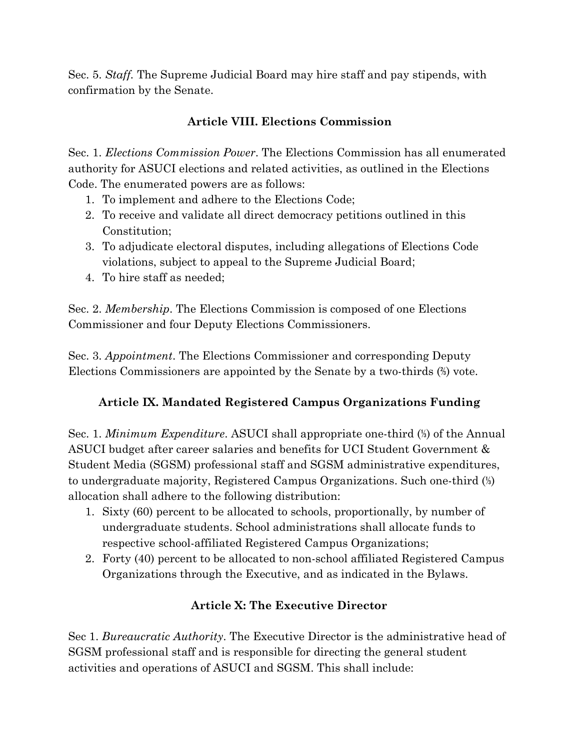Sec. 5. *Staff.* The Supreme Judicial Board may hire staff and pay stipends, with confirmation by the Senate.

## **Article VIII. Elections Commission**

Sec. 1. *Elections Commission Power*. The Elections Commission has all enumerated authority for ASUCI elections and related activities, as outlined in the Elections Code. The enumerated powers are as follows:

- 1. To implement and adhere to the Elections Code;
- 2. To receive and validate all direct democracy petitions outlined in this Constitution;
- 3. To adjudicate electoral disputes, including allegations of Elections Code violations, subject to appeal to the Supreme Judicial Board;
- 4. To hire staff as needed;

Sec. 2. *Membership*. The Elections Commission is composed of one Elections Commissioner and four Deputy Elections Commissioners.

Sec. 3. *Appointment*. The Elections Commissioner and corresponding Deputy Elections Commissioners are appointed by the Senate by a two-thirds (⅔) vote.

## **Article IX. Mandated Registered Campus Organizations Funding**

Sec. 1. *Minimum Expenditure*. ASUCI shall appropriate one-third (⅓) of the Annual ASUCI budget after career salaries and benefits for UCI Student Government & Student Media (SGSM) professional staff and SGSM administrative expenditures, to undergraduate majority, Registered Campus Organizations. Such one-third (⅓) allocation shall adhere to the following distribution:

- 1. Sixty (60) percent to be allocated to schools, proportionally, by number of undergraduate students. School administrations shall allocate funds to respective school-affiliated Registered Campus Organizations;
- 2. Forty (40) percent to be allocated to non-school affiliated Registered Campus Organizations through the Executive, and as indicated in the Bylaws.

## **Article X: The Executive Director**

Sec 1. *Bureaucratic Authority*. The Executive Director is the administrative head of SGSM professional staff and is responsible for directing the general student activities and operations of ASUCI and SGSM. This shall include: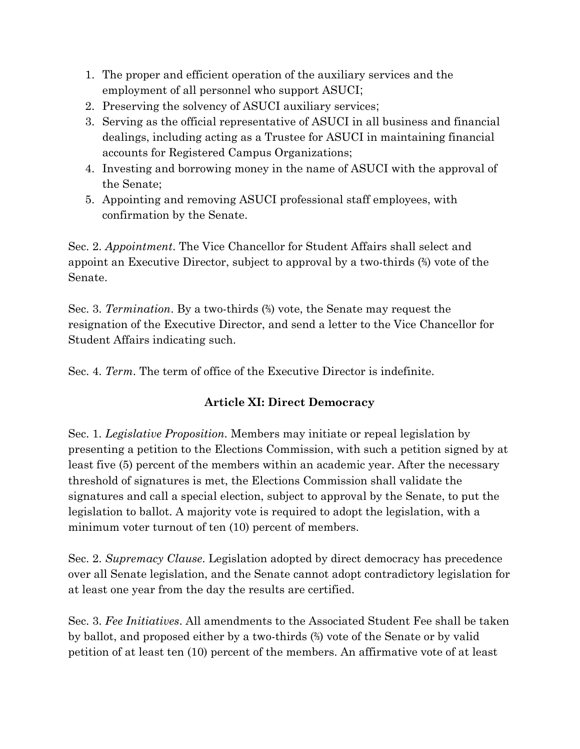- 1. The proper and efficient operation of the auxiliary services and the employment of all personnel who support ASUCI;
- 2. Preserving the solvency of ASUCI auxiliary services;
- 3. Serving as the official representative of ASUCI in all business and financial dealings, including acting as a Trustee for ASUCI in maintaining financial accounts for Registered Campus Organizations;
- 4. Investing and borrowing money in the name of ASUCI with the approval of the Senate;
- 5. Appointing and removing ASUCI professional staff employees, with confirmation by the Senate.

Sec. 2. *Appointment*. The Vice Chancellor for Student Affairs shall select and appoint an Executive Director, subject to approval by a two-thirds (⅔) vote of the Senate.

Sec. 3. *Termination*. By a two-thirds (⅔) vote, the Senate may request the resignation of the Executive Director, and send a letter to the Vice Chancellor for Student Affairs indicating such.

Sec. 4. *Term*. The term of office of the Executive Director is indefinite.

## **Article XI: Direct Democracy**

Sec. 1. *Legislative Proposition.* Members may initiate or repeal legislation by presenting a petition to the Elections Commission, with such a petition signed by at least five (5) percent of the members within an academic year. After the necessary threshold of signatures is met, the Elections Commission shall validate the signatures and call a special election, subject to approval by the Senate, to put the legislation to ballot. A majority vote is required to adopt the legislation, with a minimum voter turnout of ten (10) percent of members.

Sec. 2. *Supremacy Clause*. Legislation adopted by direct democracy has precedence over all Senate legislation, and the Senate cannot adopt contradictory legislation for at least one year from the day the results are certified.

Sec. 3. *Fee Initiatives*. All amendments to the Associated Student Fee shall be taken by ballot, and proposed either by a two-thirds (⅔) vote of the Senate or by valid petition of at least ten (10) percent of the members. An affirmative vote of at least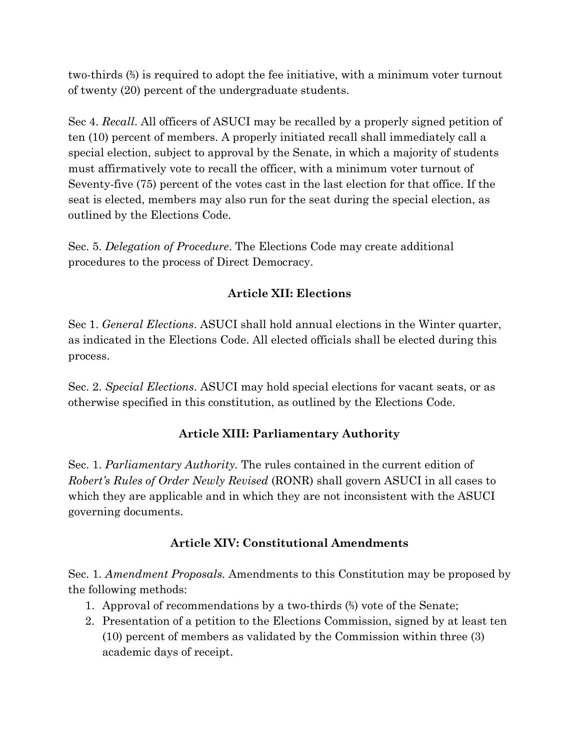two-thirds (⅔) is required to adopt the fee initiative, with a minimum voter turnout of twenty (20) percent of the undergraduate students.

Sec 4. *Recall*. All officers of ASUCI may be recalled by a properly signed petition of ten (10) percent of members. A properly initiated recall shall immediately call a special election, subject to approval by the Senate, in which a majority of students must affirmatively vote to recall the officer, with a minimum voter turnout of Seventy-five (75) percent of the votes cast in the last election for that office. If the seat is elected, members may also run for the seat during the special election, as outlined by the Elections Code.

Sec. 5. *Delegation of Procedure*. The Elections Code may create additional procedures to the process of Direct Democracy.

## **Article XII: Elections**

Sec 1. *General Elections*. ASUCI shall hold annual elections in the Winter quarter, as indicated in the Elections Code. All elected officials shall be elected during this process.

Sec. 2. *Special Elections*. ASUCI may hold special elections for vacant seats, or as otherwise specified in this constitution, as outlined by the Elections Code.

# **Article XIII: Parliamentary Authority**

Sec. 1. *Parliamentary Authority.* The rules contained in the current edition of *Robert's Rules of Order Newly Revised* (RONR) shall govern ASUCI in all cases to which they are applicable and in which they are not inconsistent with the ASUCI governing documents.

## **Article XIV: Constitutional Amendments**

Sec. 1. *Amendment Proposals.* Amendments to this Constitution may be proposed by the following methods:

- 1. Approval of recommendations by a two-thirds (⅔) vote of the Senate;
- 2. Presentation of a petition to the Elections Commission, signed by at least ten (10) percent of members as validated by the Commission within three (3) academic days of receipt.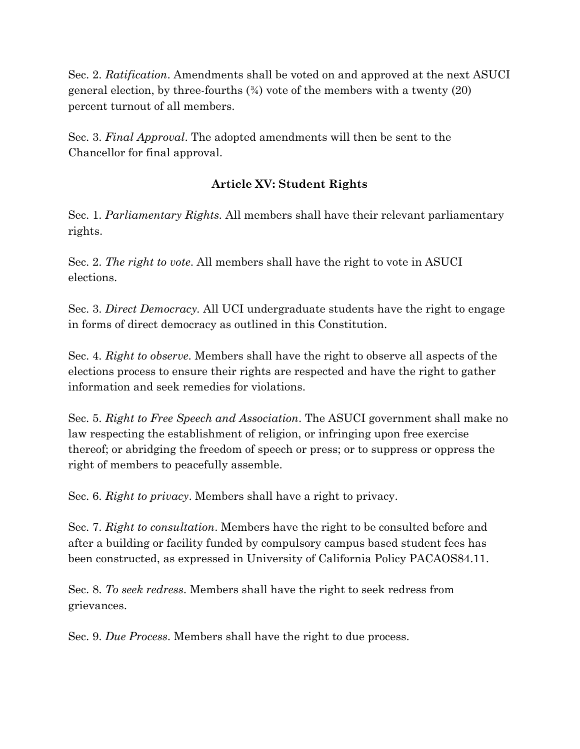Sec. 2. *Ratification*. Amendments shall be voted on and approved at the next ASUCI general election, by three-fourths  $(\frac{3}{4})$  vote of the members with a twenty  $(20)$ percent turnout of all members.

Sec. 3. *Final Approval*. The adopted amendments will then be sent to the Chancellor for final approval.

### **Article XV: Student Rights**

Sec. 1. *Parliamentary Rights.* All members shall have their relevant parliamentary rights.

Sec. 2. *The right to vote*. All members shall have the right to vote in ASUCI elections.

Sec. 3. *Direct Democracy.* All UCI undergraduate students have the right to engage in forms of direct democracy as outlined in this Constitution.

Sec. 4. *Right to observe*. Members shall have the right to observe all aspects of the elections process to ensure their rights are respected and have the right to gather information and seek remedies for violations.

Sec. 5. *Right to Free Speech and Association*. The ASUCI government shall make no law respecting the establishment of religion, or infringing upon free exercise thereof; or abridging the freedom of speech or press; or to suppress or oppress the right of members to peacefully assemble.

Sec. 6. *Right to privacy*. Members shall have a right to privacy.

Sec. 7. *Right to consultation*. Members have the right to be consulted before and after a building or facility funded by compulsory campus based student fees has been constructed, as expressed in University of California Policy PACAOS84.11.

Sec. 8. *To seek redress*. Members shall have the right to seek redress from grievances.

Sec. 9. *Due Process*. Members shall have the right to due process.